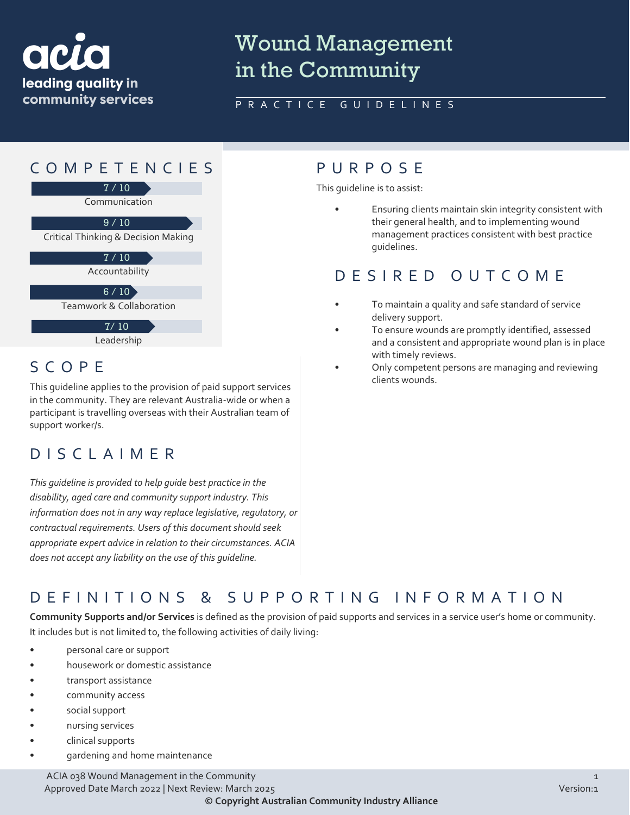

# Wound Management in the Community

#### PRACTICE GUIDELINES



Leadership

#### SCOPE

This guideline applies to the provision of paid support services in the community. They are relevant Australia-wide or when a participant is travelling overseas with their Australian team of support worker/s.

#### DISCLAIMER

*This guideline is provided to help guide best practice in the disability, aged care and community support industry. This information does not in any way replace legislative, regulatory, or contractual requirements. Users of this document should seek appropriate expert advice in relation to their circumstances. ACIA does not accept any liability on the use of this guideline.*

This guideline is to assist:

• Ensuring clients maintain skin integrity consistent with their general health, and to implementing wound management practices consistent with best practice guidelines.

## DESIRED OUTCOME

- To maintain a quality and safe standard of service delivery support.
- To ensure wounds are promptly identified, assessed and a consistent and appropriate wound plan is in place with timely reviews.
- Only competent persons are managing and reviewing clients wounds.

### DEFINITIONS & SUPPORTING INFORMATIO N

**Community Supports and/or Services** is defined as the provision of paid supports and services in a service user's home or community. It includes but is not limited to, the following activities of daily living:

- personal care or support
- housework or domestic assistance
- transport assistance
- community access
- social support
- nursing services
- clinical supports
- gardening and home maintenance

ACIA 038 Wound Management in the Community 1998 and 2008 and 2009 and 2008 and 2009 and 2008 and 2009 and 2009 Approved Date March 2022 | Next Review: March 2025 Version:1 **© Copyright Australian Community Industry Alliance**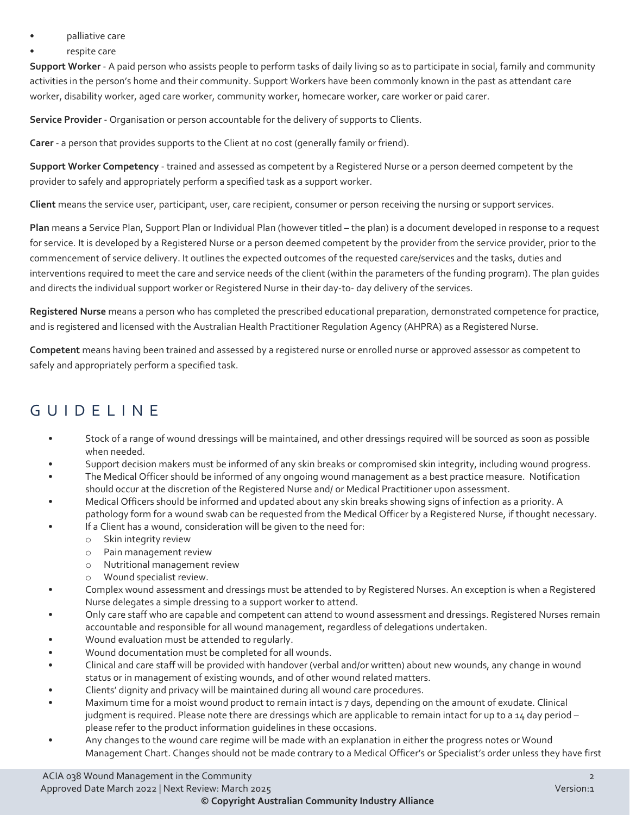- palliative care
- respite care

**Support Worker** - A paid person who assists people to perform tasks of daily living so as to participate in social, family and community activities in the person's home and their community. Support Workers have been commonly known in the past as attendant care worker, disability worker, aged care worker, community worker, homecare worker, care worker or paid carer.

**Service Provider** - Organisation or person accountable for the delivery of supports to Clients.

**Carer** - a person that provides supports to the Client at no cost (generally family or friend).

**Support Worker Competency** - trained and assessed as competent by a Registered Nurse or a person deemed competent by the provider to safely and appropriately perform a specified task as a support worker.

**Client** means the service user, participant, user, care recipient, consumer or person receiving the nursing or support services.

**Plan** means a Service Plan, Support Plan or Individual Plan (however titled – the plan) is a document developed in response to a request for service. It is developed by a Registered Nurse or a person deemed competent by the provider from the service provider, prior to the commencement of service delivery. It outlines the expected outcomes of the requested care/services and the tasks, duties and interventions required to meet the care and service needs of the client (within the parameters of the funding program). The plan guides and directs the individual support worker or Registered Nurse in their day-to- day delivery of the services.

**Registered Nurse** means a person who has completed the prescribed educational preparation, demonstrated competence for practice, and is registered and licensed with the Australian Health Practitioner Regulation Agency (AHPRA) as a Registered Nurse.

**Competent** means having been trained and assessed by a registered nurse or enrolled nurse or approved assessor as competent to safely and appropriately perform a specified task.

## GUIDELINE

- Stock of a range of wound dressings will be maintained, and other dressings required will be sourced as soon as possible when needed.
- Support decision makers must be informed of any skin breaks or compromised skin integrity, including wound progress.
- The Medical Officer should be informed of any ongoing wound management as a best practice measure. Notification should occur at the discretion of the Registered Nurse and/ or Medical Practitioner upon assessment.
- Medical Officers should be informed and updated about any skin breaks showing signs of infection as a priority. A pathology form for a wound swab can be requested from the Medical Officer by a Registered Nurse, if thought necessary.
	- If a Client has a wound, consideration will be given to the need for:
		- o Skin integrity review
		- o Pain management review
		- o Nutritional management review
		- o Wound specialist review.
- Complex wound assessment and dressings must be attended to by Registered Nurses. An exception is when a Registered Nurse delegates a simple dressing to a support worker to attend.
- Only care staff who are capable and competent can attend to wound assessment and dressings. Registered Nurses remain accountable and responsible for all wound management, regardless of delegations undertaken.
- Wound evaluation must be attended to regularly.
- Wound documentation must be completed for all wounds.
- Clinical and care staff will be provided with handover (verbal and/or written) about new wounds, any change in wound status or in management of existing wounds, and of other wound related matters.
- Clients' dignity and privacy will be maintained during all wound care procedures.
- Maximum time for a moist wound product to remain intact is 7 days, depending on the amount of exudate. Clinical judgment is required. Please note there are dressings which are applicable to remain intact for up to a 14 day period – please refer to the product information guidelines in these occasions.
- Any changes to the wound care regime will be made with an explanation in either the progress notes or Wound Management Chart. Changes should not be made contrary to a Medical Officer's or Specialist's order unless they have first